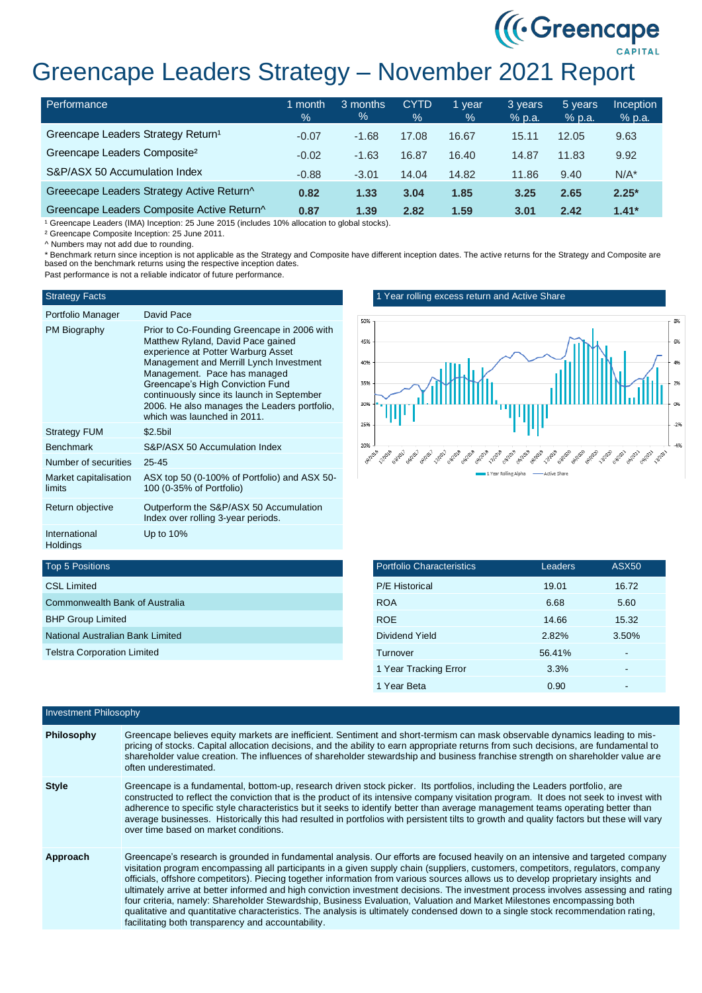# ((Creencape) Greencape Leaders Strategy – November 2021 Report

| Performance                                    | month<br>$\%$ | 3 months<br>$\%$ | <b>CYTD</b><br>$\%$ | 1 vear<br>% | 3 years<br>% p.a. | 5 years<br>% p.a. | <b>Inception</b><br>% p.a. |
|------------------------------------------------|---------------|------------------|---------------------|-------------|-------------------|-------------------|----------------------------|
| Greencape Leaders Strategy Return <sup>1</sup> | $-0.07$       | $-1.68$          | 17.08               | 16.67       | 15.11             | 12.05             | 9.63                       |
| Greencape Leaders Composite <sup>2</sup>       | $-0.02$       | $-1.63$          | 16.87               | 16.40       | 14.87             | 11.83             | 9.92                       |
| S&P/ASX 50 Accumulation Index                  | $-0.88$       | $-3.01$          | 14.04               | 14.82       | 11.86             | 9.40              | $N/A^*$                    |
| Greeecape Leaders Strategy Active Return^      | 0.82          | 1.33             | 3.04                | 1.85        | 3.25              | 2.65              | $2.25*$                    |
| Greencape Leaders Composite Active Return^     | 0.87          | 1.39             | 2.82                | 1.59        | 3.01              | 2.42              | $1.41*$                    |

<sup>1</sup> Greencape Leaders (IMA) Inception: 25 June 2015 (includes 10% allocation to global stocks).

² Greencape Composite Inception: 25 June 2011.

^ Numbers may not add due to rounding.

\* Benchmark return since inception is not applicable as the Strategy and Composite have different inception dates. The active returns for the Strategy and Composite are based on the benchmark returns using the respective inception dates.

Past performance is not a reliable indicator of future performance.

#### Strategy Facts

## Portfolio Manager David Pace

| Portiono Manager                | David Pace                                                                                                                                                                                                                                                                                                                                                         |
|---------------------------------|--------------------------------------------------------------------------------------------------------------------------------------------------------------------------------------------------------------------------------------------------------------------------------------------------------------------------------------------------------------------|
| PM Biography                    | Prior to Co-Founding Greencape in 2006 with<br>Matthew Ryland, David Pace gained<br>experience at Potter Warburg Asset<br>Management and Merrill Lynch Investment<br>Management. Pace has managed<br>Greencape's High Conviction Fund<br>continuously since its launch in September<br>2006. He also manages the Leaders portfolio,<br>which was launched in 2011. |
| <b>Strategy FUM</b>             | $$2.5$ bil                                                                                                                                                                                                                                                                                                                                                         |
| <b>Benchmark</b>                | S&P/ASX 50 Accumulation Index                                                                                                                                                                                                                                                                                                                                      |
| Number of securities            | $25 - 45$                                                                                                                                                                                                                                                                                                                                                          |
| Market capitalisation<br>limits | ASX top 50 (0-100% of Portfolio) and ASX 50-<br>100 (0-35% of Portfolio)                                                                                                                                                                                                                                                                                           |
| Return objective                | Outperform the S&P/ASX 50 Accumulation<br>Index over rolling 3-year periods.                                                                                                                                                                                                                                                                                       |
| International<br>Holdings       | Up to 10%                                                                                                                                                                                                                                                                                                                                                          |

### 1 Year rolling excess return and Active Share



| <b>Portfolio Characteristics</b> | Leaders | <b>ASX50</b> |
|----------------------------------|---------|--------------|
| <b>P/E Historical</b>            | 19.01   | 16.72        |
| <b>ROA</b>                       | 6.68    | 5.60         |
| <b>ROE</b>                       | 14.66   | 15.32        |
| Dividend Yield                   | 2.82%   | 3.50%        |
| Turnover                         | 56.41%  |              |
| 1 Year Tracking Error            | 3.3%    |              |
| 1 Year Beta                      | 0.90    |              |

# Top 5 Positions

| <b>CSL Limited</b>                 |
|------------------------------------|
| Commonwealth Bank of Australia     |
| <b>BHP Group Limited</b>           |
| National Australian Bank Limited   |
| <b>Telstra Corporation Limited</b> |
|                                    |

| <b>Investment Philosophy</b> |                                                                                                                                                                                                                                                                                                                                                                                                                                                                                                                                                                                                                                                                                                                                                                                                                                                                    |  |  |
|------------------------------|--------------------------------------------------------------------------------------------------------------------------------------------------------------------------------------------------------------------------------------------------------------------------------------------------------------------------------------------------------------------------------------------------------------------------------------------------------------------------------------------------------------------------------------------------------------------------------------------------------------------------------------------------------------------------------------------------------------------------------------------------------------------------------------------------------------------------------------------------------------------|--|--|
| Philosophy                   | Greencape believes equity markets are inefficient. Sentiment and short-termism can mask observable dynamics leading to mis-<br>pricing of stocks. Capital allocation decisions, and the ability to earn appropriate returns from such decisions, are fundamental to<br>shareholder value creation. The influences of shareholder stewardship and business franchise strength on shareholder value are<br>often underestimated.                                                                                                                                                                                                                                                                                                                                                                                                                                     |  |  |
| <b>Style</b>                 | Greencape is a fundamental, bottom-up, research driven stock picker. Its portfolios, including the Leaders portfolio, are<br>constructed to reflect the conviction that is the product of its intensive company visitation program. It does not seek to invest with<br>adherence to specific style characteristics but it seeks to identify better than average management teams operating better than<br>average businesses. Historically this had resulted in portfolios with persistent tilts to growth and quality factors but these will vary<br>over time based on market conditions.                                                                                                                                                                                                                                                                        |  |  |
| Approach                     | Greencape's research is grounded in fundamental analysis. Our efforts are focused heavily on an intensive and targeted company<br>visitation program encompassing all participants in a given supply chain (suppliers, customers, competitors, regulators, company<br>officials, offshore competitors). Piecing together information from various sources allows us to develop proprietary insights and<br>ultimately arrive at better informed and high conviction investment decisions. The investment process involves assessing and rating<br>four criteria, namely: Shareholder Stewardship, Business Evaluation, Valuation and Market Milestones encompassing both<br>qualitative and quantitative characteristics. The analysis is ultimately condensed down to a single stock recommendation rating,<br>facilitating both transparency and accountability. |  |  |